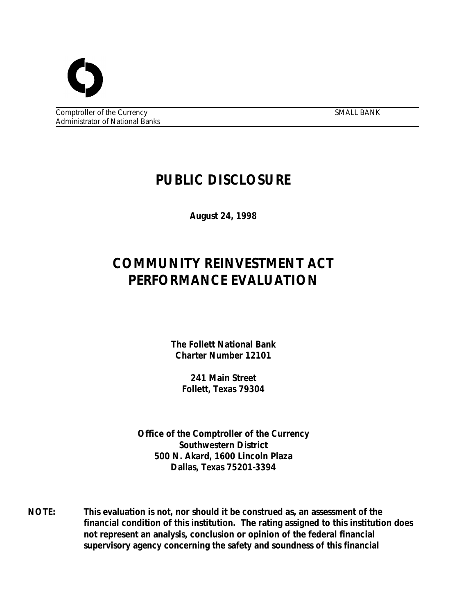Comptroller of the Currency SMALL BANK Administrator of National Banks

# **PUBLIC DISCLOSURE**

**August 24, 1998**

# **COMMUNITY REINVESTMENT ACT PERFORMANCE EVALUATION**

**The Follett National Bank Charter Number 12101**

**241 Main Street Follett, Texas 79304**

**Office of the Comptroller of the Currency Southwestern District 500 N. Akard, 1600 Lincoln Plaza Dallas, Texas 75201-3394**

**NOTE: This evaluation is not, nor should it be construed as, an assessment of the financial condition of this institution. The rating assigned to this institution does not represent an analysis, conclusion or opinion of the federal financial supervisory agency concerning the safety and soundness of this financial**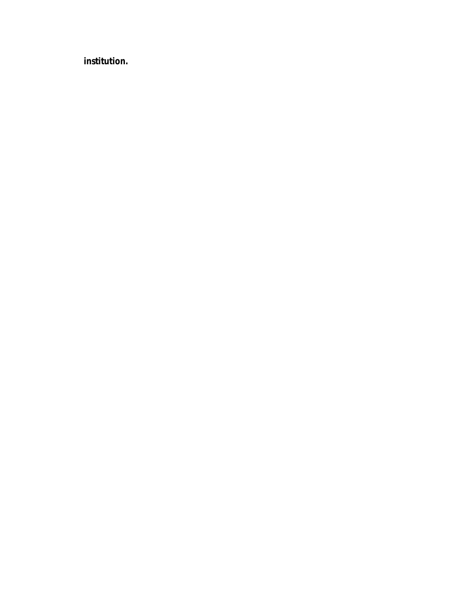**institution.**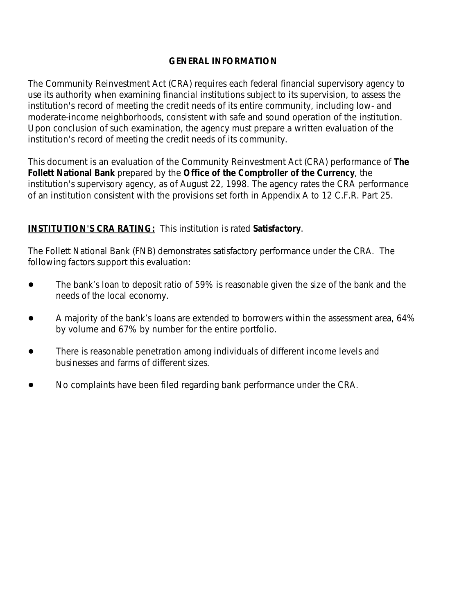#### **GENERAL INFORMATION**

*The Community Reinvestment Act (CRA) requires each federal financial supervisory agency to use its authority when examining financial institutions subject to its supervision, to assess the institution's record of meeting the credit needs of its entire community, including low- and moderate-income neighborhoods, consistent with safe and sound operation of the institution. Upon conclusion of such examination, the agency must prepare a written evaluation of the institution's record of meeting the credit needs of its community.* 

*This document is an evaluation of the Community Reinvestment Act (CRA) performance of The Follett National Bank prepared by the Office of the Comptroller of the Currency, the institution's supervisory agency, as of August 22, 1998. The agency rates the CRA performance of an institution consistent with the provisions set forth in Appendix A to 12 C.F.R. Part 25.*

## **INSTITUTION'S CRA RATING:** This institution is rated **Satisfactory**.

The Follett National Bank (FNB) demonstrates satisfactory performance under the CRA. The following factors support this evaluation:

- The bank's loan to deposit ratio of 59% is reasonable given the size of the bank and the needs of the local economy.
- A majority of the bank's loans are extended to borrowers within the assessment area, 64% by volume and 67% by number for the entire portfolio.
- ! There is reasonable penetration among individuals of different income levels and businesses and farms of different sizes.
- ! No complaints have been filed regarding bank performance under the CRA.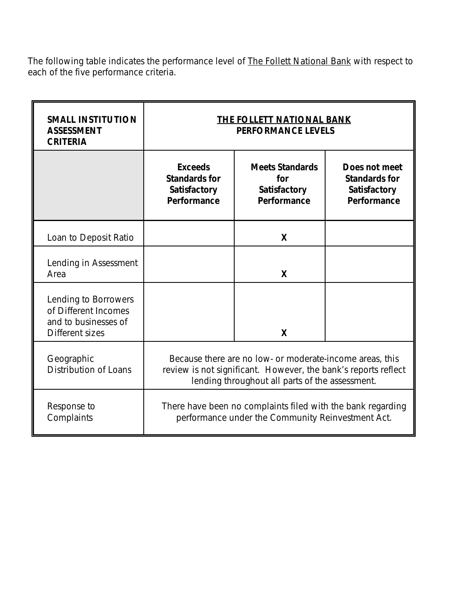*The following table indicates the performance level of The Follett National Bank with respect to each of the five performance criteria.*

| <b>SMALL INSTITUTION</b><br><b>ASSESSMENT</b><br><b>CRITERIA</b>                        | THE FOLLETT NATIONAL BANK<br><b>PERFORMANCE LEVELS</b>                                                                                                                        |                                                              |                                                                      |  |
|-----------------------------------------------------------------------------------------|-------------------------------------------------------------------------------------------------------------------------------------------------------------------------------|--------------------------------------------------------------|----------------------------------------------------------------------|--|
|                                                                                         | <b>Exceeds</b><br><b>Standards for</b><br>Satisfactory<br>Performance                                                                                                         | <b>Meets Standards</b><br>for<br>Satisfactory<br>Performance | Does not meet<br><b>Standards for</b><br>Satisfactory<br>Performance |  |
| Loan to Deposit Ratio                                                                   |                                                                                                                                                                               | X                                                            |                                                                      |  |
| Lending in Assessment<br>Area                                                           |                                                                                                                                                                               | X                                                            |                                                                      |  |
| Lending to Borrowers<br>of Different Incomes<br>and to businesses of<br>Different sizes |                                                                                                                                                                               | X                                                            |                                                                      |  |
| Geographic<br><b>Distribution of Loans</b>                                              | Because there are no low- or moderate-income areas, this<br>review is not significant. However, the bank's reports reflect<br>lending throughout all parts of the assessment. |                                                              |                                                                      |  |
| Response to<br>Complaints                                                               | There have been no complaints filed with the bank regarding<br>performance under the Community Reinvestment Act.                                                              |                                                              |                                                                      |  |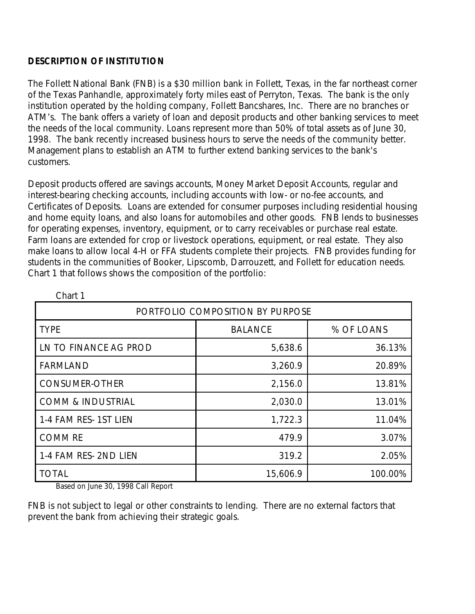### **DESCRIPTION OF INSTITUTION**

The Follett National Bank (FNB) is a \$30 million bank in Follett, Texas, in the far northeast corner of the Texas Panhandle, approximately forty miles east of Perryton, Texas. The bank is the only institution operated by the holding company, Follett Bancshares, Inc. There are no branches or ATM's. The bank offers a variety of loan and deposit products and other banking services to meet the needs of the local community. Loans represent more than 50% of total assets as of June 30, 1998. The bank recently increased business hours to serve the needs of the community better. Management plans to establish an ATM to further extend banking services to the bank's customers.

Deposit products offered are savings accounts, Money Market Deposit Accounts, regular and interest-bearing checking accounts, including accounts with low- or no-fee accounts, and Certificates of Deposits. Loans are extended for consumer purposes including residential housing and home equity loans, and also loans for automobiles and other goods. FNB lends to businesses for operating expenses, inventory, equipment, or to carry receivables or purchase real estate. Farm loans are extended for crop or livestock operations, equipment, or real estate. They also make loans to allow local 4-H or FFA students complete their projects. FNB provides funding for students in the communities of Booker, Lipscomb, Darrouzett, and Follett for education needs. Chart 1 that follows shows the composition of the portfolio:

| PORTFOLIO COMPOSITION BY PURPOSE                  |                |            |  |  |
|---------------------------------------------------|----------------|------------|--|--|
| <b>TYPE</b>                                       | <b>BALANCE</b> | % OF LOANS |  |  |
| LN TO FINANCE AG PROD                             | 5,638.6        | 36.13%     |  |  |
| <b>FARMLAND</b>                                   | 3,260.9        | 20.89%     |  |  |
| <b>CONSUMER-OTHER</b>                             | 2,156.0        | 13.81%     |  |  |
| <b>COMM &amp; INDUSTRIAL</b>                      | 2,030.0        | 13.01%     |  |  |
| 1-4 FAM RES- 1ST LIEN                             | 1,722.3        | 11.04%     |  |  |
| <b>COMM RE</b>                                    | 479.9          | 3.07%      |  |  |
| 1-4 FAM RES-2ND LIEN                              | 319.2          | 2.05%      |  |  |
| <b>TOTAL</b><br><b>D., I., I., OO 4000 O.ILD.</b> | 15,606.9       | 100.00%    |  |  |

Chart 1

Based on June 30, 1998 Call Report

FNB is not subject to legal or other constraints to lending. There are no external factors that prevent the bank from achieving their strategic goals.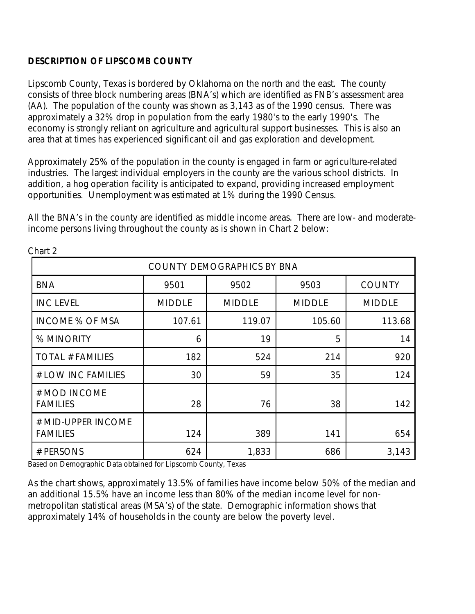# **DESCRIPTION OF LIPSCOMB COUNTY**

Lipscomb County, Texas is bordered by Oklahoma on the north and the east. The county consists of three block numbering areas (BNA's) which are identified as FNB's assessment area (AA). The population of the county was shown as 3,143 as of the 1990 census. There was approximately a 32% drop in population from the early 1980's to the early 1990's. The economy is strongly reliant on agriculture and agricultural support businesses. This is also an area that at times has experienced significant oil and gas exploration and development.

Approximately 25% of the population in the county is engaged in farm or agriculture-related industries. The largest individual employers in the county are the various school districts. In addition, a hog operation facility is anticipated to expand, providing increased employment opportunities. Unemployment was estimated at 1% during the 1990 Census.

All the BNA's in the county are identified as middle income areas. There are low- and moderateincome persons living throughout the county as is shown in Chart 2 below:

| Unart Z                               |               |               |               |               |  |
|---------------------------------------|---------------|---------------|---------------|---------------|--|
| <b>COUNTY DEMOGRAPHICS BY BNA</b>     |               |               |               |               |  |
| <b>BNA</b>                            | 9501          | 9502          | 9503          | <b>COUNTY</b> |  |
| <b>INC LEVEL</b>                      | <b>MIDDLE</b> | <b>MIDDLE</b> | <b>MIDDLE</b> | <b>MIDDLE</b> |  |
| <b>INCOME % OF MSA</b>                | 107.61        | 119.07        | 105.60        | 113.68        |  |
| % MINORITY                            | 6             | 19            | 5             | 14            |  |
| <b>TOTAL # FAMILIES</b>               | 182           | 524           | 214           | 920           |  |
| # LOW INC FAMILIES                    | 30            | 59            | 35            | 124           |  |
| # MOD INCOME<br><b>FAMILIES</b>       | 28            | 76            | 38            | 142           |  |
| # MID-UPPER INCOME<br><b>FAMILIES</b> | 124           | 389           | 141           | 654           |  |
| # PERSONS                             | 624           | 1,833         | 686           | 3,143         |  |

Chart 2

Based on Demographic Data obtained for Lipscomb County, Texas

As the chart shows, approximately 13.5% of families have income below 50% of the median and an additional 15.5% have an income less than 80% of the median income level for nonmetropolitan statistical areas (MSA's) of the state. Demographic information shows that approximately 14% of households in the county are below the poverty level.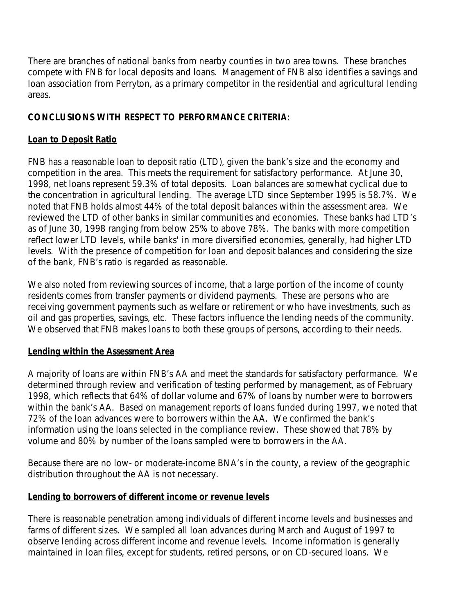There are branches of national banks from nearby counties in two area towns. These branches compete with FNB for local deposits and loans. Management of FNB also identifies a savings and loan association from Perryton, as a primary competitor in the residential and agricultural lending areas.

# **CONCLUSIONS WITH RESPECT TO PERFORMANCE CRITERIA**:

#### **Loan to Deposit Ratio**

FNB has a reasonable loan to deposit ratio (LTD), given the bank's size and the economy and competition in the area. This meets the requirement for satisfactory performance. At June 30, 1998, net loans represent 59.3% of total deposits. Loan balances are somewhat cyclical due to the concentration in agricultural lending. The average LTD since September 1995 is 58.7%. We noted that FNB holds almost 44% of the total deposit balances within the assessment area. We reviewed the LTD of other banks in similar communities and economies. These banks had LTD's as of June 30, 1998 ranging from below 25% to above 78%. The banks with more competition reflect lower LTD levels, while banks' in more diversified economies, generally, had higher LTD levels. With the presence of competition for loan and deposit balances and considering the size of the bank, FNB's ratio is regarded as reasonable.

We also noted from reviewing sources of income, that a large portion of the income of county residents comes from transfer payments or dividend payments. These are persons who are receiving government payments such as welfare or retirement or who have investments, such as oil and gas properties, savings, etc. These factors influence the lending needs of the community. We observed that FNB makes loans to both these groups of persons, according to their needs.

#### **Lending within the Assessment Area**

A majority of loans are within FNB's AA and meet the standards for satisfactory performance. We determined through review and verification of testing performed by management, as of February 1998, which reflects that 64% of dollar volume and 67% of loans by number were to borrowers within the bank's AA. Based on management reports of loans funded during 1997, we noted that 72% of the loan advances were to borrowers within the AA. We confirmed the bank's information using the loans selected in the compliance review. These showed that 78% by volume and 80% by number of the loans sampled were to borrowers in the AA.

Because there are no low- or moderate-income BNA's in the county, a review of the geographic distribution throughout the AA is not necessary.

#### **Lending to borrowers of different income or revenue levels**

There is reasonable penetration among individuals of different income levels and businesses and farms of different sizes. We sampled all loan advances during March and August of 1997 to observe lending across different income and revenue levels. Income information is generally maintained in loan files, except for students, retired persons, or on CD-secured loans. We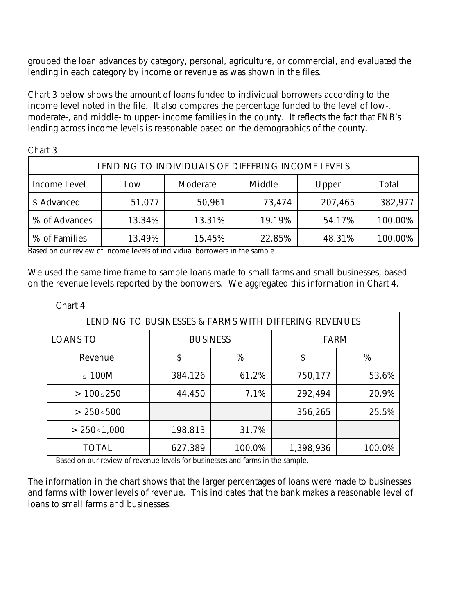grouped the loan advances by category, personal, agriculture, or commercial, and evaluated the lending in each category by income or revenue as was shown in the files.

Chart 3 below shows the amount of loans funded to individual borrowers according to the income level noted in the file. It also compares the percentage funded to the level of low-, moderate-, and middle- to upper- income families in the county. It reflects the fact that FNB's lending across income levels is reasonable based on the demographics of the county.

Chart 3

| LENDING TO INDIVIDUALS OF DIFFERING INCOME LEVELS |        |          |        |         |         |
|---------------------------------------------------|--------|----------|--------|---------|---------|
| Income Level                                      | Low    | Moderate | Middle | Upper   | Total   |
| \$ Advanced                                       | 51,077 | 50,961   | 73,474 | 207,465 | 382,977 |
| % of Advances                                     | 13.34% | 13.31%   | 19.19% | 54.17%  | 100.00% |
| % of Families                                     | 13.49% | 15.45%   | 22.85% | 48.31%  | 100.00% |

Based on our review of income levels of individual borrowers in the sample

We used the same time frame to sample loans made to small farms and small businesses, based on the revenue levels reported by the borrowers. We aggregated this information in Chart 4.

| Chart 4                                               |                 |        |             |        |
|-------------------------------------------------------|-----------------|--------|-------------|--------|
| LENDING TO BUSINESSES & FARMS WITH DIFFERING REVENUES |                 |        |             |        |
| <b>LOANS TO</b>                                       | <b>BUSINESS</b> |        | <b>FARM</b> |        |
| Revenue                                               | \$              | %      | \$          | %      |
| $\leq$ 100M                                           | 384,126         | 61.2%  | 750,177     | 53.6%  |
| $>100 \le 250$                                        | 44,450          | 7.1%   | 292,494     | 20.9%  |
| $> 250 \le 500$                                       |                 |        | 356,265     | 25.5%  |
| $> 250 \le 1,000$                                     | 198,813         | 31.7%  |             |        |
| <b>TOTAL</b>                                          | 627,389         | 100.0% | 1,398,936   | 100.0% |

Based on our review of revenue levels for businesses and farms in the sample.

The information in the chart shows that the larger percentages of loans were made to businesses and farms with lower levels of revenue. This indicates that the bank makes a reasonable level of loans to small farms and businesses.